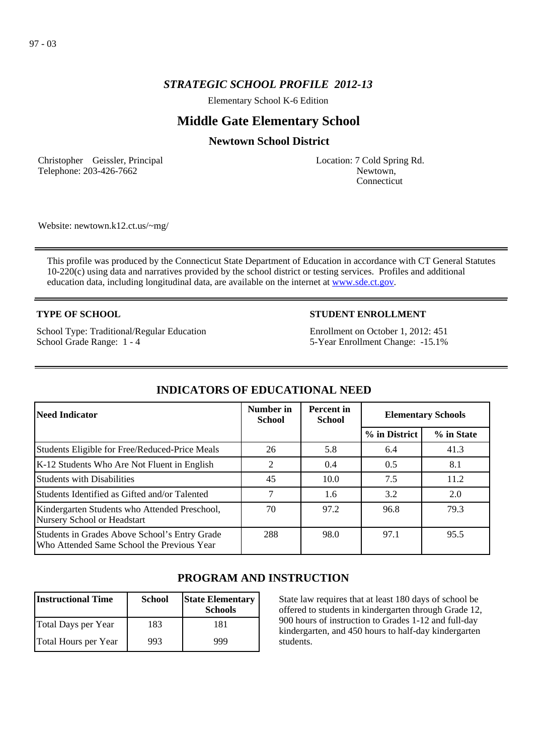## *STRATEGIC SCHOOL PROFILE 2012-13*

Elementary School K-6 Edition

# **Middle Gate Elementary School**

## **Newtown School District**

Christopher Geissler, Principal Telephone: 203-426-7662

Location: 7 Cold Spring Rd. Newtown, Connecticut

Website: newtown.k12.ct.us/~mg/

This profile was produced by the Connecticut State Department of Education in accordance with CT General Statutes 10-220(c) using data and narratives provided by the school district or testing services. Profiles and additional education data, including longitudinal data, are available on the internet at [www.sde.ct.gov](http://www.sde.ct.gov/).

### **TYPE OF SCHOOL**

School Type: Traditional/Regular Education School Grade Range: 1 - 4

### **STUDENT ENROLLMENT**

Enrollment on October 1, 2012: 451 5-Year Enrollment Change: -15.1%

| Need Indicator                                                                              | Number in<br><b>School</b> | <b>Percent</b> in<br><b>School</b> | <b>Elementary Schools</b> |            |
|---------------------------------------------------------------------------------------------|----------------------------|------------------------------------|---------------------------|------------|
|                                                                                             |                            |                                    | % in District             | % in State |
| Students Eligible for Free/Reduced-Price Meals                                              | 26                         | 5.8                                | 6.4                       | 41.3       |
| K-12 Students Who Are Not Fluent in English                                                 | 2                          | 0.4                                | 0.5                       | 8.1        |
| <b>Students with Disabilities</b>                                                           | 45                         | 10.0                               | 7.5                       | 11.2       |
| Students Identified as Gifted and/or Talented                                               |                            | 1.6                                | 3.2                       | 2.0        |
| Kindergarten Students who Attended Preschool,<br>Nursery School or Headstart                | 70                         | 97.2                               | 96.8                      | 79.3       |
| Students in Grades Above School's Entry Grade<br>Who Attended Same School the Previous Year | 288                        | 98.0                               | 97.1                      | 95.5       |

## **INDICATORS OF EDUCATIONAL NEED**

## **PROGRAM AND INSTRUCTION**

| <b>Instructional Time</b> | <b>School</b> | <b>State Elementary</b><br><b>Schools</b> |
|---------------------------|---------------|-------------------------------------------|
| Total Days per Year       | 183           | 181                                       |
| Total Hours per Year      | 993           | 999                                       |

State law requires that at least 180 days of school be offered to students in kindergarten through Grade 12, 900 hours of instruction to Grades 1-12 and full-day kindergarten, and 450 hours to half-day kindergarten students.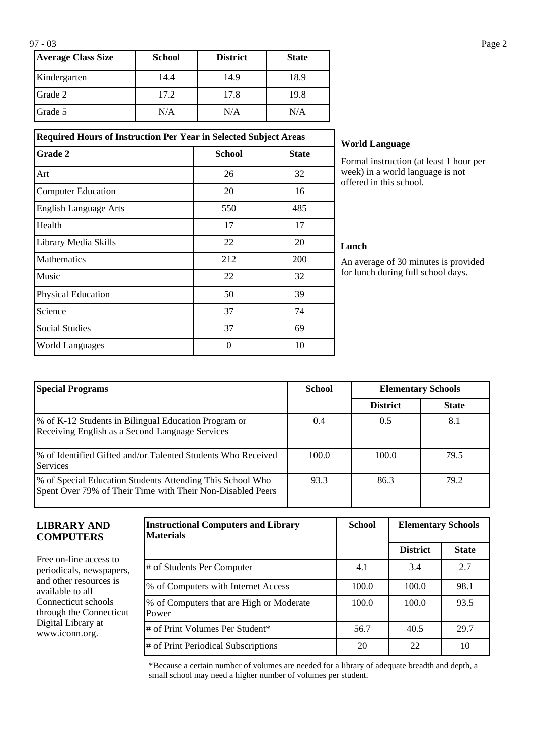| <b>Average Class Size</b> | <b>School</b> | <b>District</b> | <b>State</b> |
|---------------------------|---------------|-----------------|--------------|
| Kindergarten              | 14.4          | 14.9            | 18.9         |
| Grade 2                   | 17.2          | 17.8            | 19.8         |
| Grade 5                   | N/A           | N/A             | N/A          |

**Required Hours of Instruction Per Year in Selected Subject Areas Grade 2 School School State** 

Art 26 26 32 Computer Education 20 16 English Language Arts 550 550 485 Health 17 17 17 Library Media Skills 22 20 Mathematics 212 200 Music  $22$  32 Physical Education 50 50 39 Science 74 Social Studies 69 World Languages and the contract of the 10 and 10 and 10 and 10 and 10 and 10 and 10 and 10 and 10 and 10 and 10 and 10 and 10 and 10 and 10 and 10 and 10 and 10 and 10 and 10 and 10 and 10 and 10 and 10 and 10 and 10 and

## **World Language**

Formal instruction (at least 1 hour per week) in a world language is not offered in this school.

#### **Lunch**

An average of 30 minutes is provided for lunch during full school days.

| <b>Special Programs</b>                                                                                                 | <b>School</b> | <b>Elementary Schools</b> |              |
|-------------------------------------------------------------------------------------------------------------------------|---------------|---------------------------|--------------|
|                                                                                                                         |               | <b>District</b>           | <b>State</b> |
| % of K-12 Students in Bilingual Education Program or<br>Receiving English as a Second Language Services                 | 0.4           | 0.5                       | 8.1          |
| % of Identified Gifted and/or Talented Students Who Received<br><b>Services</b>                                         | 100.0         | 100.0                     | 79.5         |
| % of Special Education Students Attending This School Who<br>Spent Over 79% of Their Time with Their Non-Disabled Peers | 93.3          | 86.3                      | 79.2         |

### **LIBRARY AND COMPUTERS**

Free on-line access to periodicals, newspapers, and other resources is available to all Connecticut schools through the Connecticut Digital Library at www.iconn.org.

| <b>Instructional Computers and Library</b><br><b>Materials</b> | <b>School</b> | <b>Elementary Schools</b> |              |
|----------------------------------------------------------------|---------------|---------------------------|--------------|
|                                                                |               | <b>District</b>           | <b>State</b> |
| # of Students Per Computer                                     | 4.1           | 3.4                       | 2.7          |
| % of Computers with Internet Access                            | 100.0         | 100.0                     | 98.1         |
| % of Computers that are High or Moderate<br>Power              | 100.0         | 100.0                     | 93.5         |
| # of Print Volumes Per Student*                                | 56.7          | 40.5                      | 29.7         |
| # of Print Periodical Subscriptions                            | 20            | 22                        | 10           |

\*Because a certain number of volumes are needed for a library of adequate breadth and depth, a small school may need a higher number of volumes per student.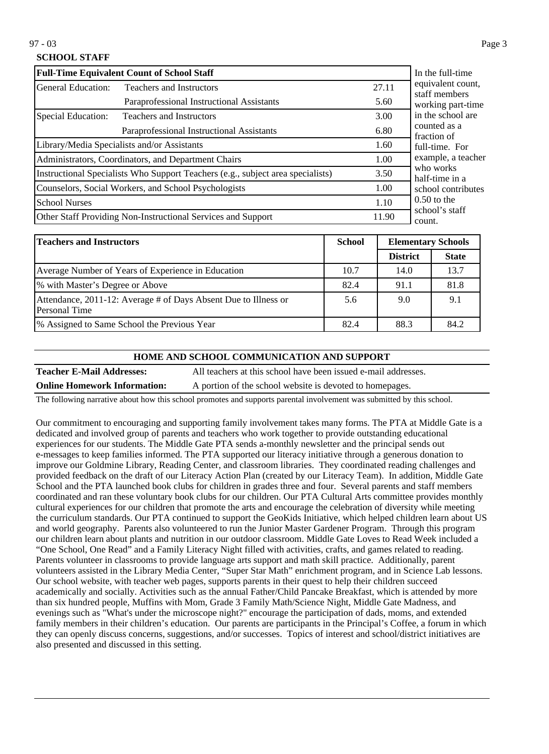97 - 03 Page 3

## **SCHOOL STAFF**

|                                                       | <b>Full-Time Equivalent Count of School Staff</b>                               |       | In the full-time                   |
|-------------------------------------------------------|---------------------------------------------------------------------------------|-------|------------------------------------|
| General Education:<br><b>Teachers and Instructors</b> |                                                                                 | 27.11 | equivalent count,<br>staff members |
|                                                       | Paraprofessional Instructional Assistants                                       | 5.60  | working part-time                  |
| Special Education:                                    | <b>Teachers and Instructors</b>                                                 | 3.00  | in the school are                  |
|                                                       | Paraprofessional Instructional Assistants                                       | 6.80  | counted as a<br>fraction of        |
|                                                       | Library/Media Specialists and/or Assistants                                     | 1.60  | full-time. For                     |
| Administrators, Coordinators, and Department Chairs   |                                                                                 | 1.00  | example, a teacher                 |
|                                                       | Instructional Specialists Who Support Teachers (e.g., subject area specialists) | 3.50  | who works<br>half-time in a        |
|                                                       | Counselors, Social Workers, and School Psychologists                            | 1.00  | school contributes                 |
| <b>School Nurses</b>                                  |                                                                                 | 1.10  | $0.50$ to the                      |
|                                                       | Other Staff Providing Non-Instructional Services and Support                    | 11.90 | school's staff<br>count.           |

| <b>Teachers and Instructors</b>                                                  | <b>School</b> | <b>Elementary Schools</b> |              |
|----------------------------------------------------------------------------------|---------------|---------------------------|--------------|
|                                                                                  |               | <b>District</b>           | <b>State</b> |
| Average Number of Years of Experience in Education                               | 10.7          | 14.0                      | 13.7         |
| % with Master's Degree or Above                                                  | 82.4          | 91.1                      | 81.8         |
| Attendance, 2011-12: Average # of Days Absent Due to Illness or<br>Personal Time | 5.6           | 9.0                       | 9.1          |
| <sup>9</sup> % Assigned to Same School the Previous Year                         | 82.4          | 88.3                      | 84.2         |

#### **HOME AND SCHOOL COMMUNICATION AND SUPPORT**

**Teacher E-Mail Addresses:** All teachers at this school have been issued e-mail addresses. **Online Homework Information:** A portion of the school website is devoted to homepages.

The following narrative about how this school promotes and supports parental involvement was submitted by this school.

Our commitment to encouraging and supporting family involvement takes many forms. The PTA at Middle Gate is a dedicated and involved group of parents and teachers who work together to provide outstanding educational experiences for our students. The Middle Gate PTA sends a-monthly newsletter and the principal sends out e-messages to keep families informed. The PTA supported our literacy initiative through a generous donation to improve our Goldmine Library, Reading Center, and classroom libraries. They coordinated reading challenges and provided feedback on the draft of our Literacy Action Plan (created by our Literacy Team). In addition, Middle Gate School and the PTA launched book clubs for children in grades three and four. Several parents and staff members coordinated and ran these voluntary book clubs for our children. Our PTA Cultural Arts committee provides monthly cultural experiences for our children that promote the arts and encourage the celebration of diversity while meeting the curriculum standards. Our PTA continued to support the GeoKids Initiative, which helped children learn about US and world geography. Parents also volunteered to run the Junior Master Gardener Program. Through this program our children learn about plants and nutrition in our outdoor classroom. Middle Gate Loves to Read Week included a "One School, One Read" and a Family Literacy Night filled with activities, crafts, and games related to reading. Parents volunteer in classrooms to provide language arts support and math skill practice. Additionally, parent volunteers assisted in the Library Media Center, "Super Star Math" enrichment program, and in Science Lab lessons. Our school website, with teacher web pages, supports parents in their quest to help their children succeed academically and socially. Activities such as the annual Father/Child Pancake Breakfast, which is attended by more than six hundred people, Muffins with Mom, Grade 3 Family Math/Science Night, Middle Gate Madness, and evenings such as "What's under the microscope night?" encourage the participation of dads, moms, and extended family members in their children's education. Our parents are participants in the Principal's Coffee, a forum in which they can openly discuss concerns, suggestions, and/or successes. Topics of interest and school/district initiatives are also presented and discussed in this setting.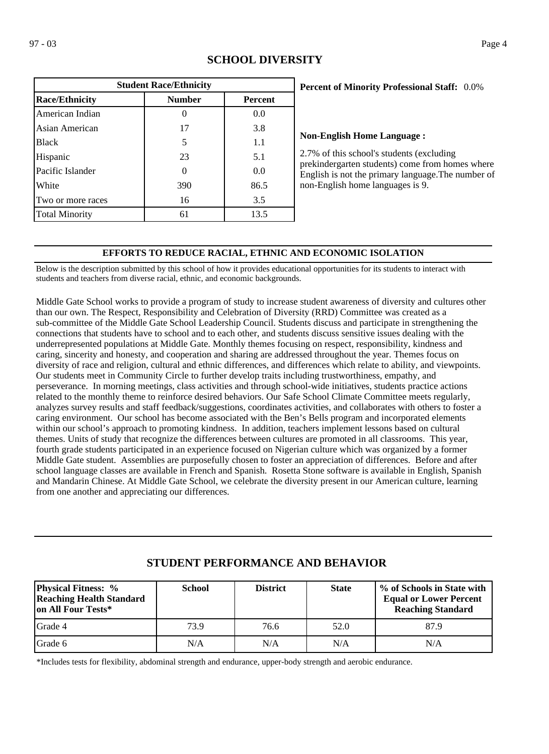| <b>Student Race/Ethnicity</b>                            |     |      |  |  |  |  |
|----------------------------------------------------------|-----|------|--|--|--|--|
| <b>Race/Ethnicity</b><br><b>Number</b><br><b>Percent</b> |     |      |  |  |  |  |
| American Indian                                          |     | 0.0  |  |  |  |  |
| Asian American                                           | 17  | 3.8  |  |  |  |  |
| <b>Black</b>                                             | 5   | 1.1  |  |  |  |  |
| Hispanic                                                 | 23  | 5.1  |  |  |  |  |
| Pacific Islander                                         | 0   | 0.0  |  |  |  |  |
| White                                                    | 390 | 86.5 |  |  |  |  |
| Two or more races                                        | 16  | 3.5  |  |  |  |  |
| <b>Total Minority</b>                                    | 61  | 13.5 |  |  |  |  |

## **SCHOOL DIVERSITY**

### 0.0% **Percent of Minority Professional Staff:**

#### **Non-English Home Language :**

2.7% of this school's students (excluding prekindergarten students) come from homes where English is not the primary language.The number of non-English home languages is 9.

### **EFFORTS TO REDUCE RACIAL, ETHNIC AND ECONOMIC ISOLATION**

Below is the description submitted by this school of how it provides educational opportunities for its students to interact with students and teachers from diverse racial, ethnic, and economic backgrounds.

Middle Gate School works to provide a program of study to increase student awareness of diversity and cultures other than our own. The Respect, Responsibility and Celebration of Diversity (RRD) Committee was created as a sub-committee of the Middle Gate School Leadership Council. Students discuss and participate in strengthening the connections that students have to school and to each other, and students discuss sensitive issues dealing with the underrepresented populations at Middle Gate. Monthly themes focusing on respect, responsibility, kindness and caring, sincerity and honesty, and cooperation and sharing are addressed throughout the year. Themes focus on diversity of race and religion, cultural and ethnic differences, and differences which relate to ability, and viewpoints. Our students meet in Community Circle to further develop traits including trustworthiness, empathy, and perseverance. In morning meetings, class activities and through school-wide initiatives, students practice actions related to the monthly theme to reinforce desired behaviors. Our Safe School Climate Committee meets regularly, analyzes survey results and staff feedback/suggestions, coordinates activities, and collaborates with others to foster a caring environment. Our school has become associated with the Ben's Bells program and incorporated elements within our school's approach to promoting kindness. In addition, teachers implement lessons based on cultural themes. Units of study that recognize the differences between cultures are promoted in all classrooms. This year, fourth grade students participated in an experience focused on Nigerian culture which was organized by a former Middle Gate student. Assemblies are purposefully chosen to foster an appreciation of differences. Before and after school language classes are available in French and Spanish. Rosetta Stone software is available in English, Spanish and Mandarin Chinese. At Middle Gate School, we celebrate the diversity present in our American culture, learning from one another and appreciating our differences.

| <b>Physical Fitness:</b> %<br><b>Reaching Health Standard</b><br>on All Four Tests* | <b>School</b> | <b>District</b> | <b>State</b> | % of Schools in State with<br><b>Equal or Lower Percent</b><br><b>Reaching Standard</b> |
|-------------------------------------------------------------------------------------|---------------|-----------------|--------------|-----------------------------------------------------------------------------------------|
| IGrade 4                                                                            | 73.9          | 76.6            | 52.0         | 87.9                                                                                    |
| Grade 6                                                                             | N/A           | N/A             | N/A          | N/A                                                                                     |

# **STUDENT PERFORMANCE AND BEHAVIOR**

\*Includes tests for flexibility, abdominal strength and endurance, upper-body strength and aerobic endurance.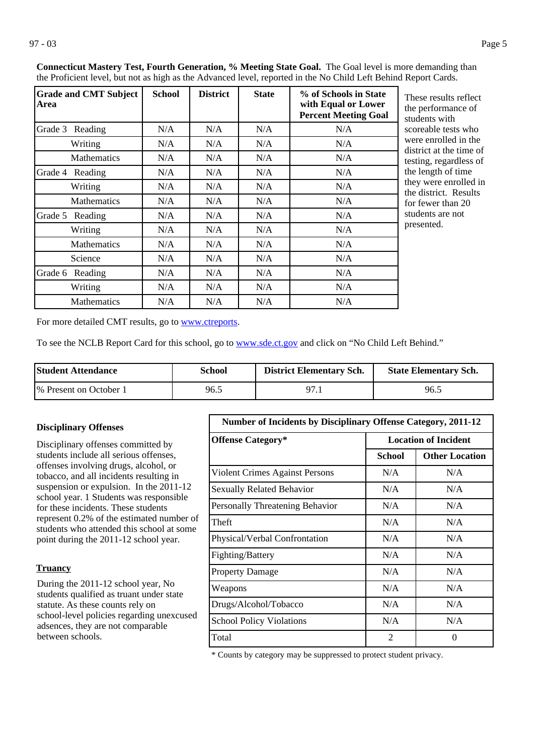| <b>Grade and CMT Subject</b><br>Area | <b>School</b> | <b>District</b> | <b>State</b> | % of Schools in State<br>with Equal or Lower<br><b>Percent Meeting Goal</b> | These results reflect<br>the performance of<br>students with |
|--------------------------------------|---------------|-----------------|--------------|-----------------------------------------------------------------------------|--------------------------------------------------------------|
| Grade 3 Reading                      | N/A           | N/A             | N/A          | N/A                                                                         | scoreable tests who                                          |
| Writing                              | N/A           | N/A             | N/A          | N/A                                                                         | were enrolled in the<br>district at the time of              |
| <b>Mathematics</b>                   | N/A           | N/A             | N/A          | N/A                                                                         | testing, regardless of                                       |
| Grade 4<br>Reading                   | N/A           | N/A             | N/A          | N/A                                                                         | the length of time                                           |
| Writing                              | N/A           | N/A             | N/A          | N/A                                                                         | they were enrolled in<br>the district. Results               |
| <b>Mathematics</b>                   | N/A           | N/A             | N/A          | N/A                                                                         | for fewer than 20                                            |
| Grade 5<br>Reading                   | N/A           | N/A             | N/A          | N/A                                                                         | students are not                                             |
| Writing                              | N/A           | N/A             | N/A          | N/A                                                                         | presented.                                                   |
| <b>Mathematics</b>                   | N/A           | N/A             | N/A          | N/A                                                                         |                                                              |
| Science                              | N/A           | N/A             | N/A          | N/A                                                                         |                                                              |
| Grade 6 Reading                      | N/A           | N/A             | N/A          | N/A                                                                         |                                                              |
| Writing                              | N/A           | N/A             | N/A          | N/A                                                                         |                                                              |
| <b>Mathematics</b>                   | N/A           | N/A             | N/A          | N/A                                                                         |                                                              |

**Connecticut Mastery Test, Fourth Generation, % Meeting State Goal.** The Goal level is more demanding than the Proficient level, but not as high as the Advanced level, reported in the No Child Left Behind Report Cards.

For more detailed CMT results, go to **[www.ctreports](http://www.ctreports/)**.

To see the NCLB Report Card for this school, go to [www.sde.ct.gov](http://www.sde.ct.gov/) and click on "No Child Left Behind."

| Student Attendance      | School | <b>District Elementary Sch.</b> | <b>State Elementary Sch.</b> |
|-------------------------|--------|---------------------------------|------------------------------|
| 1% Present on October 1 | 96.5   |                                 | 96.5                         |

### **Disciplinary Offenses**

Disciplinary offenses committed by students include all serious offenses, offenses involving drugs, alcohol, or tobacco, and all incidents resulting in suspension or expulsion. In the 2011-12 school year. 1 Students was responsible for these incidents. These students represent 0.2% of the estimated number of students who attended this school at some point during the 2011-12 school year.

#### **Truancy**

During the 2011-12 school year, No students qualified as truant under state statute. As these counts rely on school-level policies regarding unexcused adsences, they are not comparable between schools.

| <b>Number of Incidents by Disciplinary Offense Category, 2011-12</b> |                             |                       |  |  |  |
|----------------------------------------------------------------------|-----------------------------|-----------------------|--|--|--|
| <b>Offense Category*</b>                                             | <b>Location of Incident</b> |                       |  |  |  |
|                                                                      | <b>School</b>               | <b>Other Location</b> |  |  |  |
| Violent Crimes Against Persons                                       | N/A                         | N/A                   |  |  |  |
| <b>Sexually Related Behavior</b>                                     | N/A                         | N/A                   |  |  |  |
| Personally Threatening Behavior                                      | N/A                         | N/A                   |  |  |  |
| Theft                                                                | N/A                         | N/A                   |  |  |  |
| Physical/Verbal Confrontation                                        | N/A                         | N/A                   |  |  |  |
| Fighting/Battery                                                     | N/A                         | N/A                   |  |  |  |
| <b>Property Damage</b>                                               | N/A                         | N/A                   |  |  |  |
| Weapons                                                              | N/A                         | N/A                   |  |  |  |
| Drugs/Alcohol/Tobacco                                                | N/A                         | N/A                   |  |  |  |
| <b>School Policy Violations</b>                                      | N/A                         | N/A                   |  |  |  |
| Total                                                                | 2                           | 0                     |  |  |  |

\* Counts by category may be suppressed to protect student privacy.